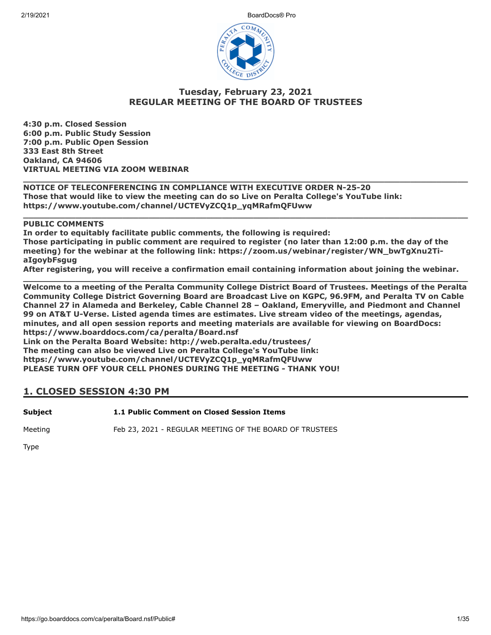2/19/2021 BoardDocs® Pro



#### **Tuesday, February 23, 2021 REGULAR MEETING OF THE BOARD OF TRUSTEES**

**\_\_\_\_\_\_\_\_\_\_\_\_\_\_\_\_\_\_\_\_\_\_\_\_\_\_\_\_\_\_\_\_\_\_\_\_\_\_\_\_\_\_\_\_\_\_\_\_\_\_\_\_\_\_\_\_\_\_\_\_\_\_\_\_\_\_\_\_\_\_\_\_\_\_\_\_\_\_\_\_\_\_\_\_\_**

**\_\_\_\_\_\_\_\_\_\_\_\_\_\_\_\_\_\_\_\_\_\_\_\_\_\_\_\_\_\_\_\_\_\_\_\_\_\_\_\_\_\_\_\_\_\_\_\_\_\_\_\_\_\_\_\_\_\_\_\_\_\_\_\_\_\_\_\_\_\_\_\_\_\_\_\_\_\_\_\_\_\_\_\_\_**

**4:30 p.m. Closed Session 6:00 p.m. Public Study Session 7:00 p.m. Public Open Session 333 East 8th Street Oakland, CA 94606 VIRTUAL MEETING VIA ZOOM WEBINAR**

**NOTICE OF TELECONFERENCING IN COMPLIANCE WITH EXECUTIVE ORDER N-25-20 Those that would like to view the meeting can do so Live on Peralta College's YouTube link: https://www.youtube.com/channel/UCTEVyZCQ1p\_yqMRafmQFUww**

**PUBLIC COMMENTS**

**In order to equitably facilitate public comments, the following is required: Those participating in public comment are required to register (no later than 12:00 p.m. the day of the meeting) for the webinar at the following link: https://zoom.us/webinar/register/WN\_bwTgXnu2TiaIgoybFsgug**

**After registering, you will receive a confirmation email containing information about joining the webinar. \_\_\_\_\_\_\_\_\_\_\_\_\_\_\_\_\_\_\_\_\_\_\_\_\_\_\_\_\_\_\_\_\_\_\_\_\_\_\_\_\_\_\_\_\_\_\_\_\_\_\_\_\_\_\_\_\_\_\_\_\_\_\_\_\_\_\_\_\_\_\_\_\_\_\_\_\_\_\_\_\_\_\_\_\_**

**Welcome to a meeting of the Peralta Community College District Board of Trustees. Meetings of the Peralta Community College District Governing Board are Broadcast Live on KGPC, 96.9FM, and Peralta TV on Cable Channel 27 in Alameda and Berkeley, Cable Channel 28 – Oakland, Emeryville, and Piedmont and Channel 99 on AT&T U-Verse. Listed agenda times are estimates. Live stream video of the meetings, agendas, minutes, and all open session reports and meeting materials are available for viewing on BoardDocs: https://www.boarddocs.com/ca/peralta/Board.nsf Link on the Peralta Board Website: http://web.peralta.edu/trustees/ The meeting can also be viewed Live on Peralta College's YouTube link: https://www.youtube.com/channel/UCTEVyZCQ1p\_yqMRafmQFUww PLEASE TURN OFF YOUR CELL PHONES DURING THE MEETING - THANK YOU!**

### **1. CLOSED SESSION 4:30 PM**

**Subject 1.1 Public Comment on Closed Session Items**

Meeting Feb 23, 2021 - REGULAR MEETING OF THE BOARD OF TRUSTEES

Type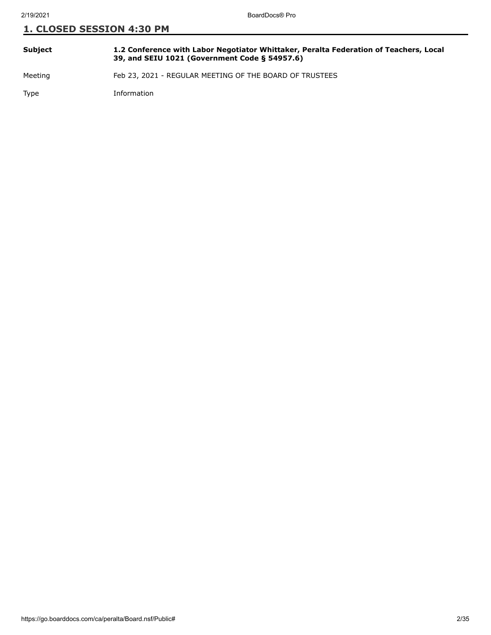| Subject | 1.2 Conference with Labor Negotiator Whittaker, Peralta Federation of Teachers, Local<br>39, and SEIU 1021 (Government Code § 54957.6) |
|---------|----------------------------------------------------------------------------------------------------------------------------------------|
| Meeting | Feb 23, 2021 - REGULAR MEETING OF THE BOARD OF TRUSTEES                                                                                |

Type Information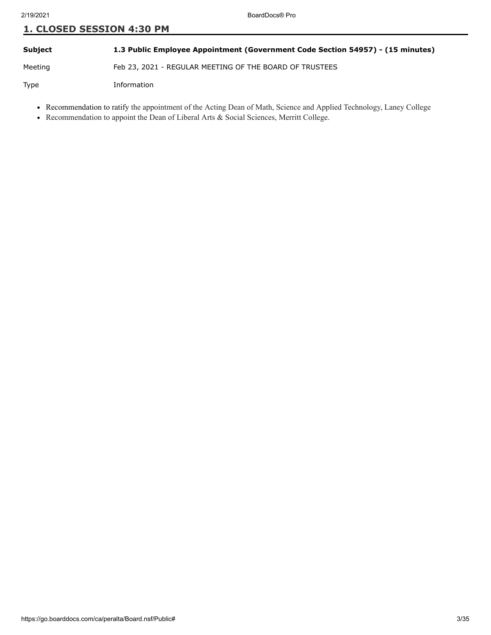#### **Subject 1.3 Public Employee Appointment (Government Code Section 54957) - (15 minutes)**

Meeting Feb 23, 2021 - REGULAR MEETING OF THE BOARD OF TRUSTEES

Type Information

- Recommendation to ratify the appointment of the Acting Dean of Math, Science and Applied Technology, Laney College
- Recommendation to appoint the Dean of Liberal Arts & Social Sciences, Merritt College.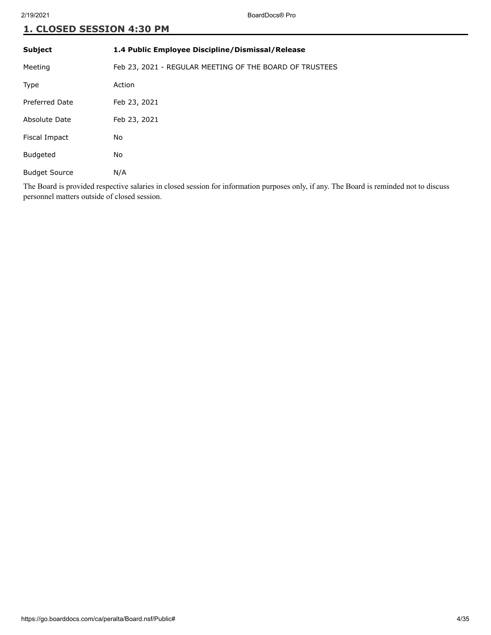| <b>Subject</b>        | 1.4 Public Employee Discipline/Dismissal/Release        |
|-----------------------|---------------------------------------------------------|
| Meeting               | Feb 23, 2021 - REGULAR MEETING OF THE BOARD OF TRUSTEES |
| <b>Type</b>           | Action                                                  |
| <b>Preferred Date</b> | Feb 23, 2021                                            |
| Absolute Date         | Feb 23, 2021                                            |
| Fiscal Impact         | No                                                      |
| <b>Budgeted</b>       | No                                                      |
| <b>Budget Source</b>  | N/A                                                     |
|                       |                                                         |

The Board is provided respective salaries in closed session for information purposes only, if any. The Board is reminded not to discuss personnel matters outside of closed session.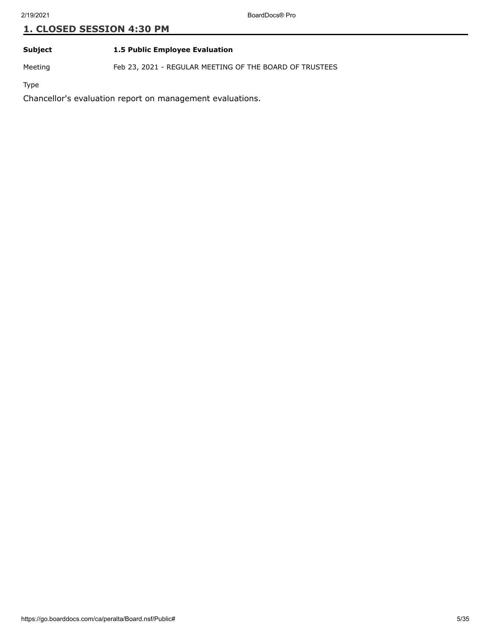#### **Subject 1.5 Public Employee Evaluation**

Meeting Feb 23, 2021 - REGULAR MEETING OF THE BOARD OF TRUSTEES

Type

Chancellor's evaluation report on management evaluations.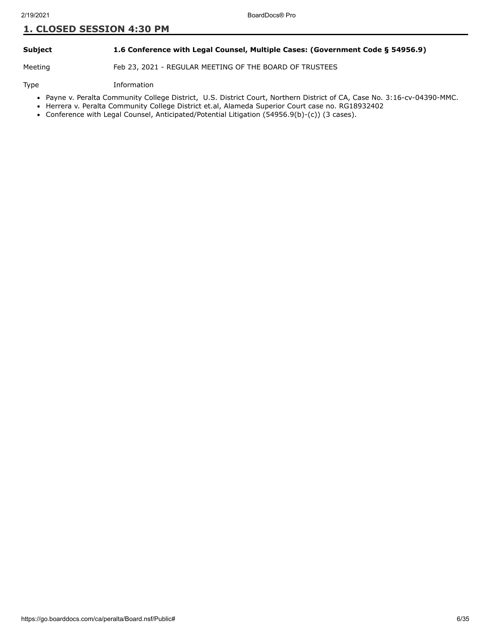#### **Subject 1.6 Conference with Legal Counsel, Multiple Cases: (Government Code § 54956.9)**

Meeting Feb 23, 2021 - REGULAR MEETING OF THE BOARD OF TRUSTEES

#### Type Information

- Payne v. Peralta Community College District, U.S. District Court, Northern District of CA, Case No. 3:16-cv-04390-MMC.
- Herrera v. Peralta Community College District et.al, Alameda Superior Court case no. RG18932402
- Conference with Legal Counsel, Anticipated/Potential Litigation (54956.9(b)-(c)) (3 cases).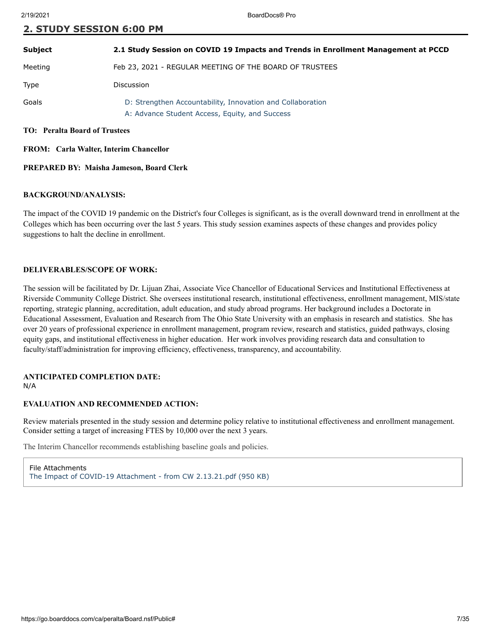| <b>Subject</b>                       | 2.1 Study Session on COVID 19 Impacts and Trends in Enrollment Management at PCCD                            |
|--------------------------------------|--------------------------------------------------------------------------------------------------------------|
| Meeting                              | Feb 23, 2021 - REGULAR MEETING OF THE BOARD OF TRUSTEES                                                      |
| Type                                 | Discussion                                                                                                   |
| Goals                                | D: Strengthen Accountability, Innovation and Collaboration<br>A: Advance Student Access, Equity, and Success |
| <b>TO:</b> Peralta Board of Trustees |                                                                                                              |

**FROM: Carla Walter, Interim Chancellor**

**2. STUDY SESSION 6:00 PM**

#### **PREPARED BY: Maisha Jameson, Board Clerk**

#### **BACKGROUND/ANALYSIS:**

The impact of the COVID 19 pandemic on the District's four Colleges is significant, as is the overall downward trend in enrollment at the Colleges which has been occurring over the last 5 years. This study session examines aspects of these changes and provides policy suggestions to halt the decline in enrollment.

#### **DELIVERABLES/SCOPE OF WORK:**

The session will be facilitated by Dr. Lijuan Zhai, Associate Vice Chancellor of Educational Services and Institutional Effectiveness at Riverside Community College District. She oversees institutional research, institutional effectiveness, enrollment management, MIS/state reporting, strategic planning, accreditation, adult education, and study abroad programs. Her background includes a Doctorate in Educational Assessment, Evaluation and Research from The Ohio State University with an emphasis in research and statistics. She has over 20 years of professional experience in enrollment management, program review, research and statistics, guided pathways, closing equity gaps, and institutional effectiveness in higher education. Her work involves providing research data and consultation to faculty/staff/administration for improving efficiency, effectiveness, transparency, and accountability.

#### **ANTICIPATED COMPLETION DATE:** N/A

#### **EVALUATION AND RECOMMENDED ACTION:**

Review materials presented in the study session and determine policy relative to institutional effectiveness and enrollment management. Consider setting a target of increasing FTES by 10,000 over the next 3 years.

The Interim Chancellor recommends establishing baseline goals and policies.

File Attachments [The Impact of COVID-19 Attachment - from CW 2.13.21.pdf \(950 KB\)](https://go.boarddocs.com/ca/peralta/Board.nsf/files/BYAQHT696FA3/$file/The%20Impact%20of%20COVID-19%20Attachment%20-%20from%20CW%202.13.21.pdf)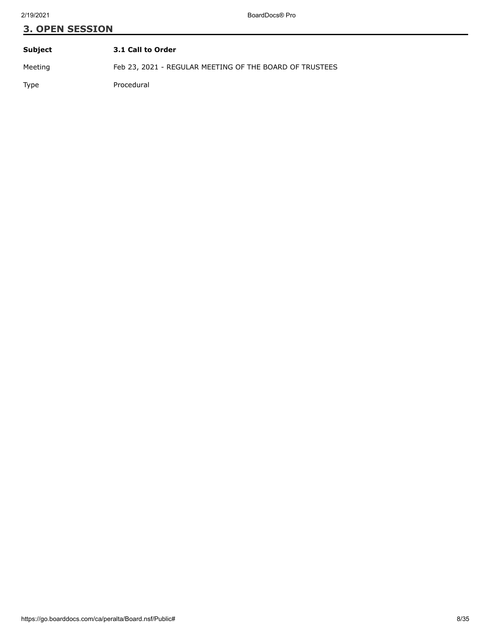# **3. OPEN SESSION Subject 3.1 Call to Order**

Meeting Feb 23, 2021 - REGULAR MEETING OF THE BOARD OF TRUSTEES

Type Procedural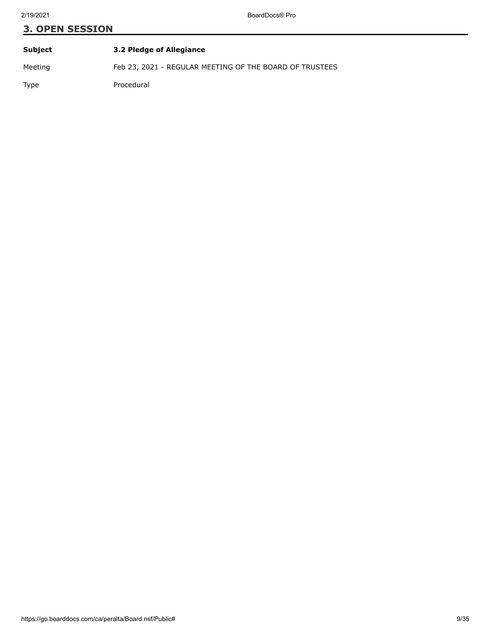| Subject | 3.2 Pledge of Allegiance                                |
|---------|---------------------------------------------------------|
| Meeting | Feb 23, 2021 - REGULAR MEETING OF THE BOARD OF TRUSTEES |
| Type    | Procedural                                              |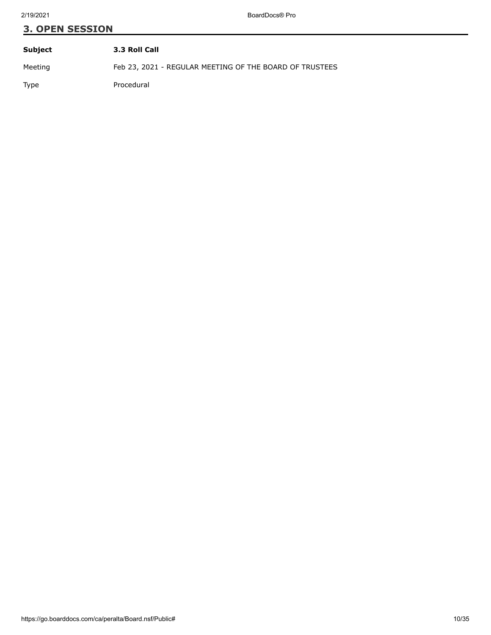| Subject | 3.3 Roll Call                                           |
|---------|---------------------------------------------------------|
| Meeting | Feb 23, 2021 - REGULAR MEETING OF THE BOARD OF TRUSTEES |
| Type    | Procedural                                              |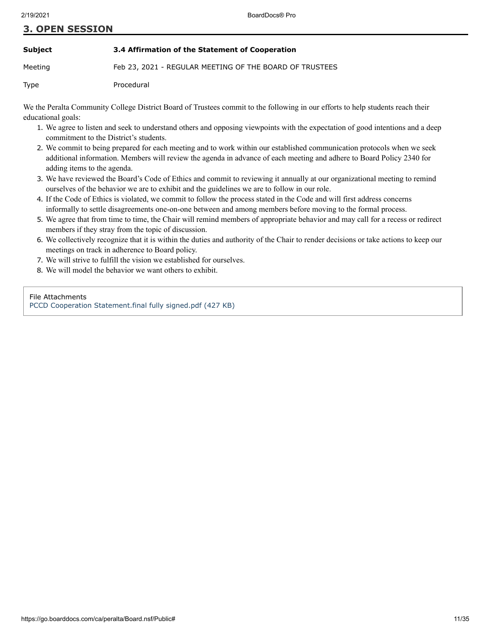#### **Subject 3.4 Affirmation of the Statement of Cooperation**

Meeting Feb 23, 2021 - REGULAR MEETING OF THE BOARD OF TRUSTEES

Type Procedural

We the Peralta Community College District Board of Trustees commit to the following in our efforts to help students reach their educational goals:

- 1. We agree to listen and seek to understand others and opposing viewpoints with the expectation of good intentions and a deep commitment to the District's students.
- 2. We commit to being prepared for each meeting and to work within our established communication protocols when we seek additional information. Members will review the agenda in advance of each meeting and adhere to Board Policy 2340 for adding items to the agenda.
- 3. We have reviewed the Board's Code of Ethics and commit to reviewing it annually at our organizational meeting to remind ourselves of the behavior we are to exhibit and the guidelines we are to follow in our role.
- 4. If the Code of Ethics is violated, we commit to follow the process stated in the Code and will first address concerns informally to settle disagreements one-on-one between and among members before moving to the formal process.
- 5. We agree that from time to time, the Chair will remind members of appropriate behavior and may call for a recess or redirect members if they stray from the topic of discussion.
- 6. We collectively recognize that it is within the duties and authority of the Chair to render decisions or take actions to keep our meetings on track in adherence to Board policy.
- 7. We will strive to fulfill the vision we established for ourselves.
- 8. We will model the behavior we want others to exhibit.

#### File Attachments

[PCCD Cooperation Statement.final fully signed.pdf \(427 KB\)](https://go.boarddocs.com/ca/peralta/Board.nsf/files/BY4PH7643B21/$file/PCCD%20Cooperation%20Statement.final%20fully%20signed.pdf)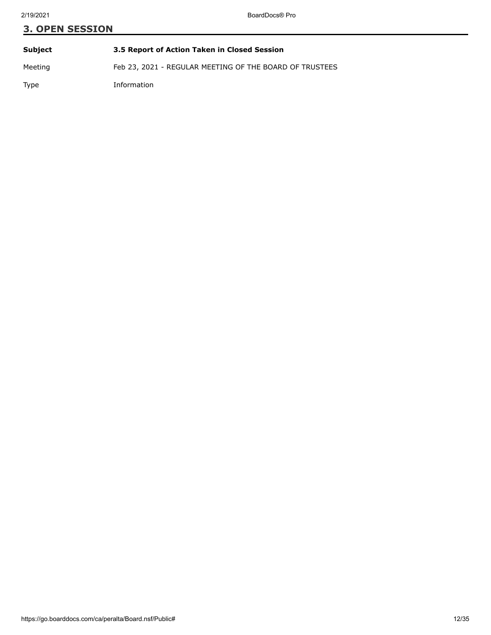# **3. OPEN SESSION Subject 3.5 Report of Action Taken in Closed Session**

Meeting Feb 23, 2021 - REGULAR MEETING OF THE BOARD OF TRUSTEES

Type Information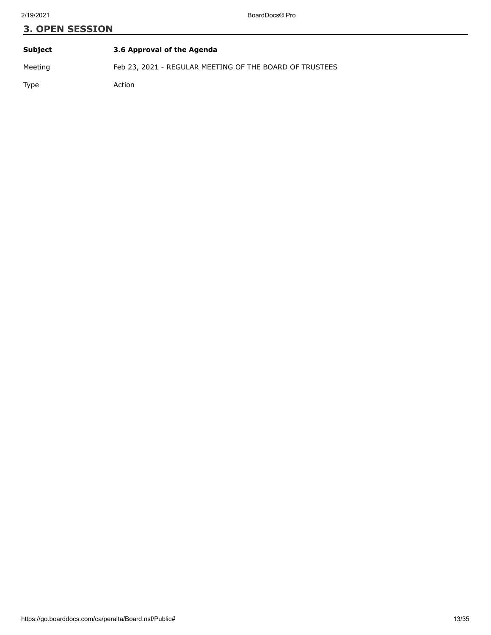| Subject | 3.6 Approval of the Agenda                              |
|---------|---------------------------------------------------------|
| Meeting | Feb 23, 2021 - REGULAR MEETING OF THE BOARD OF TRUSTEES |
| Type    | Action                                                  |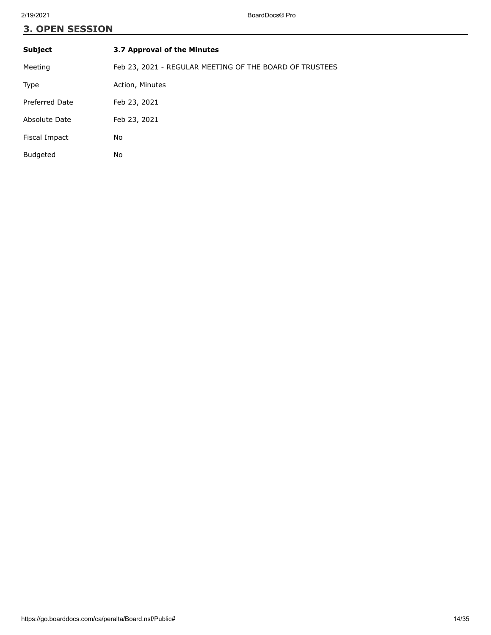| <b>Subject</b>  | 3.7 Approval of the Minutes                             |
|-----------------|---------------------------------------------------------|
| Meeting         | Feb 23, 2021 - REGULAR MEETING OF THE BOARD OF TRUSTEES |
| Type            | Action, Minutes                                         |
| Preferred Date  | Feb 23, 2021                                            |
| Absolute Date   | Feb 23, 2021                                            |
| Fiscal Impact   | No                                                      |
| <b>Budgeted</b> | No                                                      |
|                 |                                                         |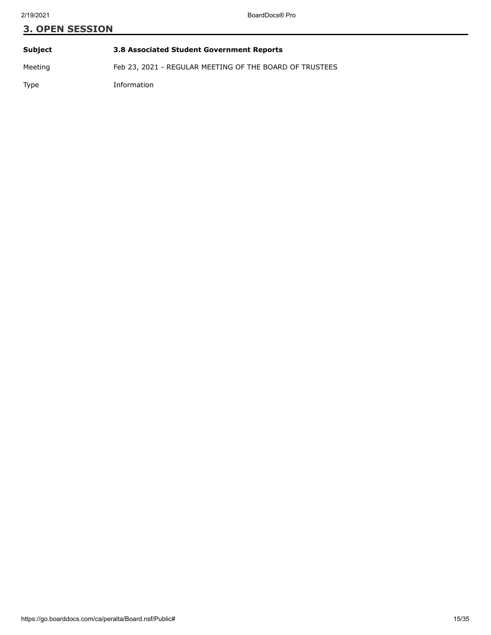# **3. OPEN SESSION Subject 3.8 Associated Student Government Reports**

Meeting Feb 23, 2021 - REGULAR MEETING OF THE BOARD OF TRUSTEES

Type Information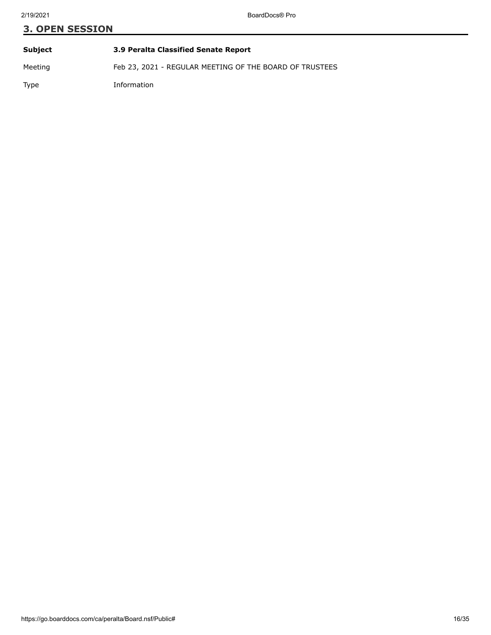| Subject | 3.9 Peralta Classified Senate Report                    |
|---------|---------------------------------------------------------|
| Meeting | Feb 23, 2021 - REGULAR MEETING OF THE BOARD OF TRUSTEES |
| Type    | Information                                             |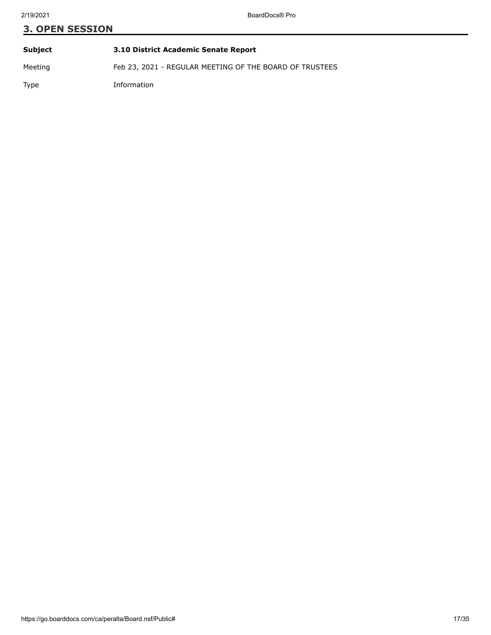**Subject 3.10 District Academic Senate Report** Meeting Feb 23, 2021 - REGULAR MEETING OF THE BOARD OF TRUSTEES Type Information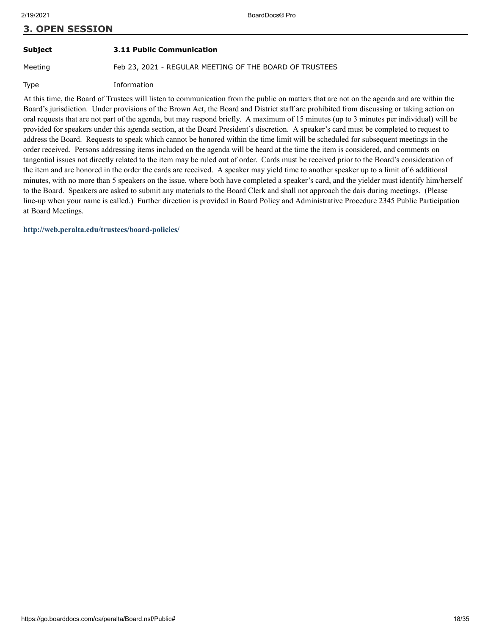### **Subject 3.11 Public Communication**

Meeting Feb 23, 2021 - REGULAR MEETING OF THE BOARD OF TRUSTEES

Type Information

At this time, the Board of Trustees will listen to communication from the public on matters that are not on the agenda and are within the Board's jurisdiction. Under provisions of the Brown Act, the Board and District staff are prohibited from discussing or taking action on oral requests that are not part of the agenda, but may respond briefly. A maximum of 15 minutes (up to 3 minutes per individual) will be provided for speakers under this agenda section, at the Board President's discretion. A speaker's card must be completed to request to address the Board. Requests to speak which cannot be honored within the time limit will be scheduled for subsequent meetings in the order received. Persons addressing items included on the agenda will be heard at the time the item is considered, and comments on tangential issues not directly related to the item may be ruled out of order. Cards must be received prior to the Board's consideration of the item and are honored in the order the cards are received. A speaker may yield time to another speaker up to a limit of 6 additional minutes, with no more than 5 speakers on the issue, where both have completed a speaker's card, and the yielder must identify him/herself to the Board. Speakers are asked to submit any materials to the Board Clerk and shall not approach the dais during meetings. (Please line-up when your name is called.) Further direction is provided in Board Policy and Administrative Procedure 2345 Public Participation at Board Meetings.

**<http://web.peralta.edu/trustees/board-policies/>**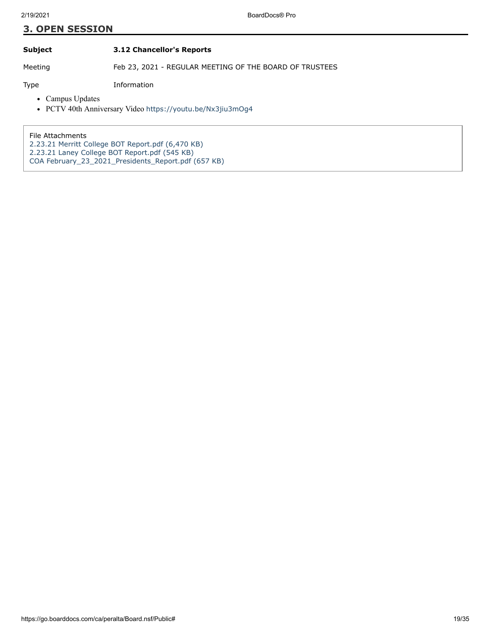**Subject 3.12 Chancellor's Reports**

Meeting Feb 23, 2021 - REGULAR MEETING OF THE BOARD OF TRUSTEES

Type Information

- Campus Updates
- PCTV 40th Anniversary Video [https://youtu.be/Nx3jiu3mOg4](https://nam02.safelinks.protection.outlook.com/?url=https%3A%2F%2Fyoutu.be%2FNx3jiu3mOg4&data=02%7C01%7Cbmartinez%40peralta.edu%7Cc13d2e3deacf4f8d526f08d7ba4ae13c%7Ceea16a1648af477b911305b1c01123ff%7C0%7C0%7C637182703097422389&sdata=7yAfapucmjLFgC0ZVdtHixUJ3wjlsrC%2FNbFLpdqJ9LU%3D&reserved=0)

File Attachments

- [2.23.21 Merritt College BOT Report.pdf \(6,470 KB\)](https://go.boarddocs.com/ca/peralta/Board.nsf/files/BYAQ9K677B35/$file/2.23.21%20Merritt%20College%20BOT%20Report.pdf)
- [2.23.21 Laney College BOT Report.pdf \(545 KB\)](https://go.boarddocs.com/ca/peralta/Board.nsf/files/BYDPVS667F82/$file/2.23.21%20Laney%20College%20BOT%20Report.pdf)
- [COA February\\_23\\_2021\\_Presidents\\_Report.pdf \(657 KB\)](https://go.boarddocs.com/ca/peralta/Board.nsf/files/BYDV8D7F7DB8/$file/COA%20February_23_2021_Presidents_Report.pdf)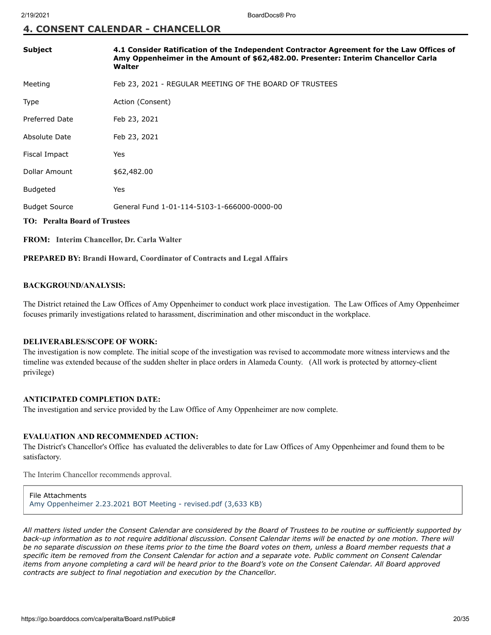#### **4. CONSENT CALENDAR - CHANCELLOR**

| Subject                                           | 4.1 Consider Ratification of the Independent Contractor Agreement for the Law Offices of<br>Amy Oppenheimer in the Amount of \$62,482.00. Presenter: Interim Chancellor Carla<br>Walter |
|---------------------------------------------------|-----------------------------------------------------------------------------------------------------------------------------------------------------------------------------------------|
| Meeting                                           | Feb 23, 2021 - REGULAR MEETING OF THE BOARD OF TRUSTEES                                                                                                                                 |
| <b>Type</b>                                       | Action (Consent)                                                                                                                                                                        |
| <b>Preferred Date</b>                             | Feb 23, 2021                                                                                                                                                                            |
| Absolute Date                                     | Feb 23, 2021                                                                                                                                                                            |
| Fiscal Impact                                     | Yes                                                                                                                                                                                     |
| Dollar Amount                                     | \$62,482.00                                                                                                                                                                             |
| <b>Budgeted</b>                                   | Yes                                                                                                                                                                                     |
| <b>Budget Source</b>                              | General Fund 1-01-114-5103-1-666000-0000-00                                                                                                                                             |
| <b>TO: Peralta Board of Trustees</b>              |                                                                                                                                                                                         |
| <b>FROM:</b> Interim Chancellor, Dr. Carla Walter |                                                                                                                                                                                         |

**PREPARED BY: Brandi Howard, Coordinator of Contracts and Legal Affairs**

#### **BACKGROUND/ANALYSIS:**

The District retained the Law Offices of Amy Oppenheimer to conduct work place investigation. The Law Offices of Amy Oppenheimer focuses primarily investigations related to harassment, discrimination and other misconduct in the workplace.

#### **DELIVERABLES/SCOPE OF WORK:**

The investigation is now complete. The initial scope of the investigation was revised to accommodate more witness interviews and the timeline was extended because of the sudden shelter in place orders in Alameda County. (All work is protected by attorney-client privilege)

#### **ANTICIPATED COMPLETION DATE:**

The investigation and service provided by the Law Office of Amy Oppenheimer are now complete.

#### **EVALUATION AND RECOMMENDED ACTION:**

The District's Chancellor's Office has evaluated the deliverables to date for Law Offices of Amy Oppenheimer and found them to be satisfactory.

The Interim Chancellor recommends approval.

File Attachments [Amy Oppenheimer 2.23.2021 BOT Meeting - revised.pdf \(3,633 KB\)](https://go.boarddocs.com/ca/peralta/Board.nsf/files/BYDW5F83BF13/$file/Amy%20Oppenheimer%202.23.2021%20BOT%20Meeting%20-%20revised.pdf)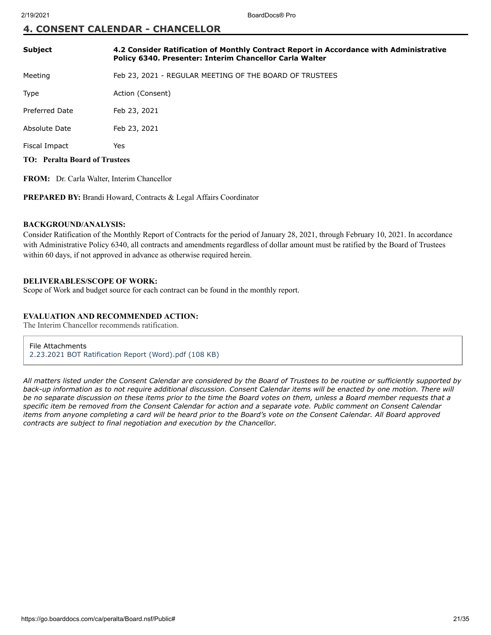#### **4. CONSENT CALENDAR - CHANCELLOR**

| <b>Subject</b>                       | 4.2 Consider Ratification of Monthly Contract Report in Accordance with Administrative<br>Policy 6340. Presenter: Interim Chancellor Carla Walter |
|--------------------------------------|---------------------------------------------------------------------------------------------------------------------------------------------------|
| Meeting                              | Feb 23, 2021 - REGULAR MEETING OF THE BOARD OF TRUSTEES                                                                                           |
| Type                                 | Action (Consent)                                                                                                                                  |
| Preferred Date                       | Feb 23, 2021                                                                                                                                      |
| Absolute Date                        | Feb 23, 2021                                                                                                                                      |
| Fiscal Impact                        | Yes                                                                                                                                               |
| <b>TO: Peralta Board of Trustees</b> |                                                                                                                                                   |

**FROM:** Dr. Carla Walter, Interim Chancellor

PREPARED BY: Brandi Howard, Contracts & Legal Affairs Coordinator

#### **BACKGROUND/ANALYSIS:**

Consider Ratification of the Monthly Report of Contracts for the period of January 28, 2021, through February 10, 2021. In accordance with Administrative Policy 6340, all contracts and amendments regardless of dollar amount must be ratified by the Board of Trustees within 60 days, if not approved in advance as otherwise required herein.

#### **DELIVERABLES/SCOPE OF WORK:**

Scope of Work and budget source for each contract can be found in the monthly report.

#### **EVALUATION AND RECOMMENDED ACTION:**

The Interim Chancellor recommends ratification.

File Attachments [2.23.2021 BOT Ratification Report \(Word\).pdf \(108 KB\)](https://go.boarddocs.com/ca/peralta/Board.nsf/files/BY5P4B62ABD1/$file/2.23.2021%20BOT%20Ratification%20Report%20(Word).pdf)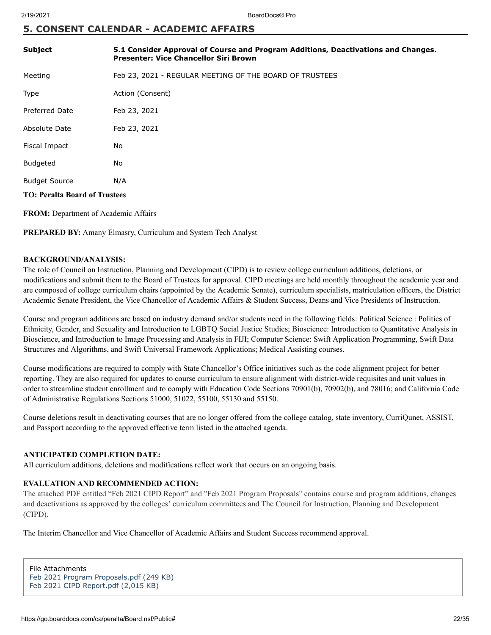### **5. CONSENT CALENDAR - ACADEMIC AFFAIRS**

| <b>Subject</b>                       | 5.1 Consider Approval of Course and Program Additions, Deactivations and Changes.<br><b>Presenter: Vice Chancellor Siri Brown</b> |
|--------------------------------------|-----------------------------------------------------------------------------------------------------------------------------------|
| Meeting                              | Feb 23, 2021 - REGULAR MEETING OF THE BOARD OF TRUSTEES                                                                           |
| <b>Type</b>                          | Action (Consent)                                                                                                                  |
| <b>Preferred Date</b>                | Feb 23, 2021                                                                                                                      |
| Absolute Date                        | Feb 23, 2021                                                                                                                      |
| Fiscal Impact                        | No                                                                                                                                |
| <b>Budgeted</b>                      | No                                                                                                                                |
| <b>Budget Source</b>                 | N/A                                                                                                                               |
| <b>TO: Peralta Board of Trustees</b> |                                                                                                                                   |

**FROM:** Department of Academic Affairs

**PREPARED BY:** Amany Elmasry, Curriculum and System Tech Analyst

#### **BACKGROUND/ANALYSIS:**

The role of Council on Instruction, Planning and Development (CIPD) is to review college curriculum additions, deletions, or modifications and submit them to the Board of Trustees for approval. CIPD meetings are held monthly throughout the academic year and are composed of college curriculum chairs (appointed by the Academic Senate), curriculum specialists, matriculation officers, the District Academic Senate President, the Vice Chancellor of Academic Affairs & Student Success, Deans and Vice Presidents of Instruction.

Course and program additions are based on industry demand and/or students need in the following fields: Political Science : Politics of Ethnicity, Gender, and Sexuality and Introduction to LGBTQ Social Justice Studies; Bioscience: Introduction to Quantitative Analysis in Bioscience, and Introduction to Image Processing and Analysis in FIJI; Computer Science: Swift Application Programming, Swift Data Structures and Algorithms, and Swift Universal Framework Applications; Medical Assisting courses.

Course modifications are required to comply with State Chancellor's Office initiatives such as the code alignment project for better reporting. They are also required for updates to course curriculum to ensure alignment with district-wide requisites and unit values in order to streamline student enrollment and to comply with Education Code Sections 70901(b), 70902(b), and 78016; and California Code of Administrative Regulations Sections 51000, 51022, 55100, 55130 and 55150.

Course deletions result in deactivating courses that are no longer offered from the college catalog, state inventory, CurriQunet, ASSIST, and Passport according to the approved effective term listed in the attached agenda.

#### **ANTICIPATED COMPLETION DATE:**

All curriculum additions, deletions and modifications reflect work that occurs on an ongoing basis.

#### **EVALUATION AND RECOMMENDED ACTION:**

The attached PDF entitled "Feb 2021 CIPD Report" and "Feb 2021 Program Proposals" contains course and program additions, changes and deactivations as approved by the colleges' curriculum committees and The Council for Instruction, Planning and Development (CIPD).

The Interim Chancellor and Vice Chancellor of Academic Affairs and Student Success recommend approval.

File Attachments [Feb 2021 Program Proposals.pdf \(249 KB\)](https://go.boarddocs.com/ca/peralta/Board.nsf/files/BY4VWP7C0B26/$file/Feb%202021%20Program%20Proposals.pdf) [Feb 2021 CIPD Report.pdf \(2,015 KB\)](https://go.boarddocs.com/ca/peralta/Board.nsf/files/BY52C582B9A2/$file/Feb%202021%20CIPD%20Report.pdf)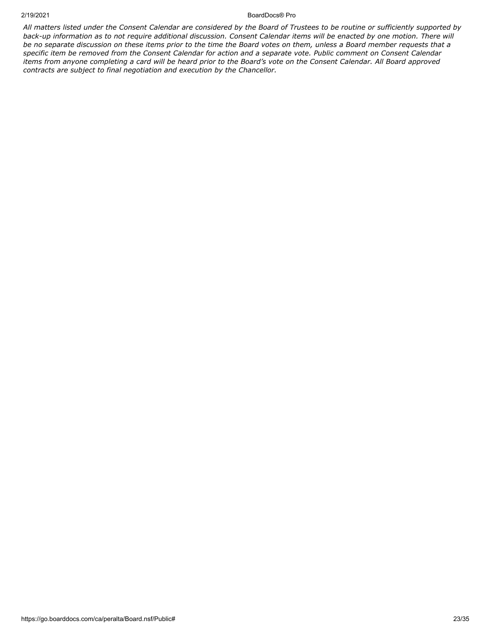#### 2/19/2021 BoardDocs® Pro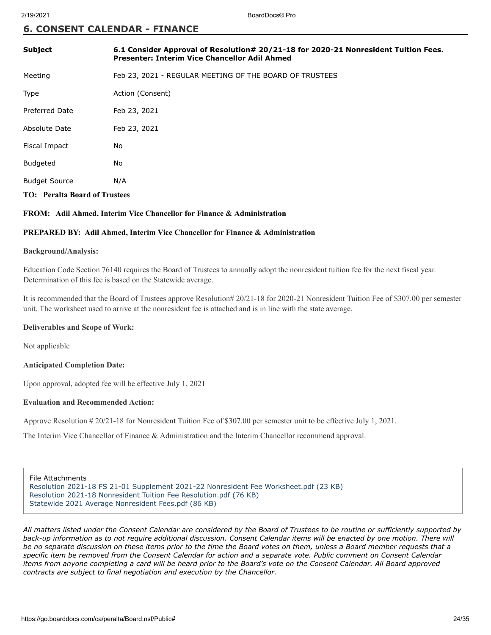#### **6. CONSENT CALENDAR - FINANCE**

| <b>Subject</b>                       | 6.1 Consider Approval of Resolution# 20/21-18 for 2020-21 Nonresident Tuition Fees.<br>Presenter: Interim Vice Chancellor Adil Ahmed |
|--------------------------------------|--------------------------------------------------------------------------------------------------------------------------------------|
| Meeting                              | Feb 23, 2021 - REGULAR MEETING OF THE BOARD OF TRUSTEES                                                                              |
| Type                                 | Action (Consent)                                                                                                                     |
| <b>Preferred Date</b>                | Feb 23, 2021                                                                                                                         |
| Absolute Date                        | Feb 23, 2021                                                                                                                         |
| Fiscal Impact                        | No                                                                                                                                   |
| <b>Budgeted</b>                      | No                                                                                                                                   |
| <b>Budget Source</b>                 | N/A                                                                                                                                  |
| <b>TO: Peralta Board of Trustees</b> |                                                                                                                                      |

#### **FROM: Adil Ahmed, Interim Vice Chancellor for Finance & Administration**

#### **PREPARED BY: Adil Ahmed, Interim Vice Chancellor for Finance & Administration**

#### **Background/Analysis:**

Education Code Section 76140 requires the Board of Trustees to annually adopt the nonresident tuition fee for the next fiscal year. Determination of this fee is based on the Statewide average.

It is recommended that the Board of Trustees approve Resolution# 20/21-18 for 2020-21 Nonresident Tuition Fee of \$307.00 per semester unit. The worksheet used to arrive at the nonresident fee is attached and is in line with the state average.

#### **Deliverables and Scope of Work:**

Not applicable

#### **Anticipated Completion Date:**

Upon approval, adopted fee will be effective July 1, 2021

#### **Evaluation and Recommended Action:**

Approve Resolution # 20/21-18 for Nonresident Tuition Fee of \$307.00 per semester unit to be effective July 1, 2021.

The Interim Vice Chancellor of Finance & Administration and the Interim Chancellor recommend approval.

File Attachments [Resolution 2021-18 FS 21-01 Supplement 2021-22 Nonresident Fee Worksheet.pdf \(23 KB\)](https://go.boarddocs.com/ca/peralta/Board.nsf/files/BXETD76CDBD2/$file/Resolution%202021-18%20FS%2021-01%20Supplement%202021-22%20Nonresident%20Fee%20Worksheet.pdf) [Resolution 2021-18 Nonresident Tuition Fee Resolution.pdf \(76 KB\)](https://go.boarddocs.com/ca/peralta/Board.nsf/files/BXFNE45F8443/$file/Resolution%202021-18%20Nonresident%20Tuition%20Fee%20Resolution.pdf) [Statewide 2021 Average Nonresident Fees.pdf \(86 KB\)](https://go.boarddocs.com/ca/peralta/Board.nsf/files/BYDECZ39DA29/$file/Statewide%202021%20Average%20Nonresident%20Fees.pdf)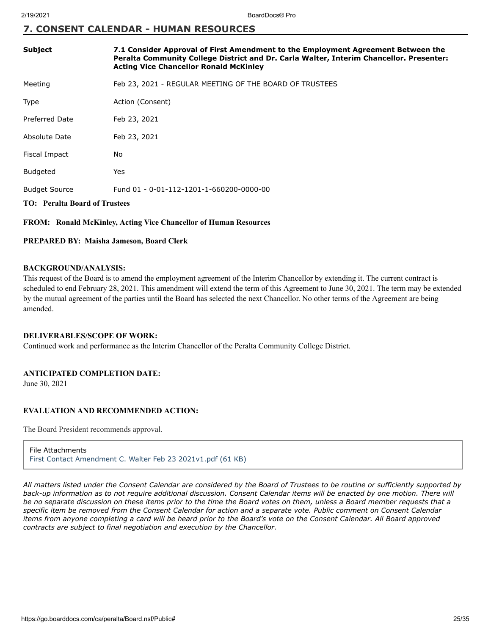### **7. CONSENT CALENDAR - HUMAN RESOURCES**

| <b>Subject</b>                       | 7.1 Consider Approval of First Amendment to the Employment Agreement Between the<br>Peralta Community College District and Dr. Carla Walter, Interim Chancellor. Presenter:<br><b>Acting Vice Chancellor Ronald McKinley</b> |
|--------------------------------------|------------------------------------------------------------------------------------------------------------------------------------------------------------------------------------------------------------------------------|
| Meeting                              | Feb 23, 2021 - REGULAR MEETING OF THE BOARD OF TRUSTEES                                                                                                                                                                      |
| Type                                 | Action (Consent)                                                                                                                                                                                                             |
| Preferred Date                       | Feb 23, 2021                                                                                                                                                                                                                 |
| Absolute Date                        | Feb 23, 2021                                                                                                                                                                                                                 |
| Fiscal Impact                        | No                                                                                                                                                                                                                           |
| <b>Budgeted</b>                      | Yes                                                                                                                                                                                                                          |
| <b>Budget Source</b>                 | Fund 01 - 0-01-112-1201-1-660200-0000-00                                                                                                                                                                                     |
| <b>TO:</b> Peralta Board of Trustees |                                                                                                                                                                                                                              |

#### **FROM: Ronald McKinley, Acting Vice Chancellor of Human Resources**

#### **PREPARED BY: Maisha Jameson, Board Clerk**

#### **BACKGROUND/ANALYSIS:**

This request of the Board is to amend the employment agreement of the Interim Chancellor by extending it. The current contract is scheduled to end February 28, 2021. This amendment will extend the term of this Agreement to June 30, 2021. The term may be extended by the mutual agreement of the parties until the Board has selected the next Chancellor. No other terms of the Agreement are being amended.

#### **DELIVERABLES/SCOPE OF WORK:**

Continued work and performance as the Interim Chancellor of the Peralta Community College District.

#### **ANTICIPATED COMPLETION DATE:**

June 30, 2021

#### **EVALUATION AND RECOMMENDED ACTION:**

The Board President recommends approval.

#### File Attachments

[First Contact Amendment C. Walter Feb 23 2021v1.pdf \(61 KB\)](https://go.boarddocs.com/ca/peralta/Board.nsf/files/BYC4AC0A8E7D/$file/First%20Contact%20Amendment%20C.%20Walter%20Feb%2023%202021v1.pdf)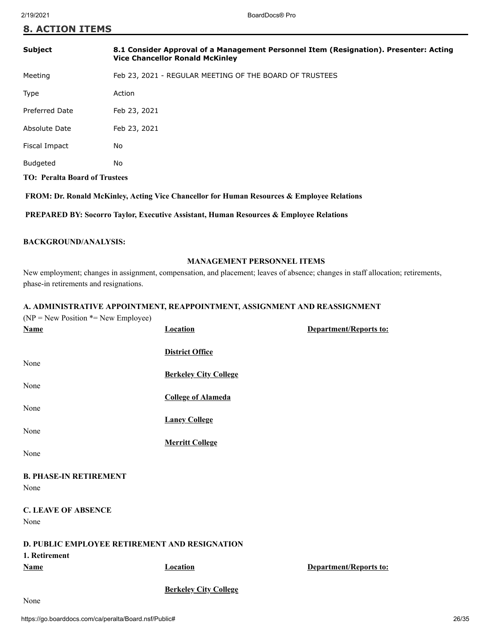#### **8. ACTION ITEMS**

| <b>Subject</b>                       | 8.1 Consider Approval of a Management Personnel Item (Resignation). Presenter: Acting<br><b>Vice Chancellor Ronald McKinley</b> |
|--------------------------------------|---------------------------------------------------------------------------------------------------------------------------------|
| Meeting                              | Feb 23, 2021 - REGULAR MEETING OF THE BOARD OF TRUSTEES                                                                         |
| Type                                 | Action                                                                                                                          |
| <b>Preferred Date</b>                | Feb 23, 2021                                                                                                                    |
| Absolute Date                        | Feb 23, 2021                                                                                                                    |
| Fiscal Impact                        | No                                                                                                                              |
| <b>Budgeted</b>                      | No                                                                                                                              |
| <b>TO: Peralta Board of Trustees</b> |                                                                                                                                 |
|                                      |                                                                                                                                 |

 **FROM: Dr. Ronald McKinley, Acting Vice Chancellor for Human Resources & Employee Relations**

 **PREPARED BY: Socorro Taylor, Executive Assistant, Human Resources & Employee Relations**

#### **BACKGROUND/ANALYSIS:**

#### **MANAGEMENT PERSONNEL ITEMS**

New employment; changes in assignment, compensation, and placement; leaves of absence; changes in staff allocation; retirements, phase-in retirements and resignations.

#### **A. ADMINISTRATIVE APPOINTMENT, REAPPOINTMENT, ASSIGNMENT AND REASSIGNMENT**

| $(NP = New Position * = New Employee)$        |                              |                               |
|-----------------------------------------------|------------------------------|-------------------------------|
| <b>Name</b>                                   | <b>Location</b>              | <b>Department/Reports to:</b> |
|                                               |                              |                               |
|                                               | <b>District Office</b>       |                               |
| None                                          |                              |                               |
|                                               | <b>Berkeley City College</b> |                               |
| None                                          |                              |                               |
|                                               | <b>College of Alameda</b>    |                               |
| None                                          |                              |                               |
|                                               | <b>Laney College</b>         |                               |
| None                                          |                              |                               |
|                                               | <b>Merritt College</b>       |                               |
| None                                          |                              |                               |
| <b>B. PHASE-IN RETIREMENT</b>                 |                              |                               |
| None                                          |                              |                               |
|                                               |                              |                               |
| <b>C. LEAVE OF ABSENCE</b>                    |                              |                               |
| None                                          |                              |                               |
|                                               |                              |                               |
| D. PUBLIC EMPLOYEE RETIREMENT AND RESIGNATION |                              |                               |
| 1. Retirement                                 |                              |                               |
| <b>Name</b>                                   | <b>Location</b>              | Department/Reports to:        |
|                                               |                              |                               |
|                                               | <b>Berkeley City College</b> |                               |
| $\mathbf{X}$                                  |                              |                               |

None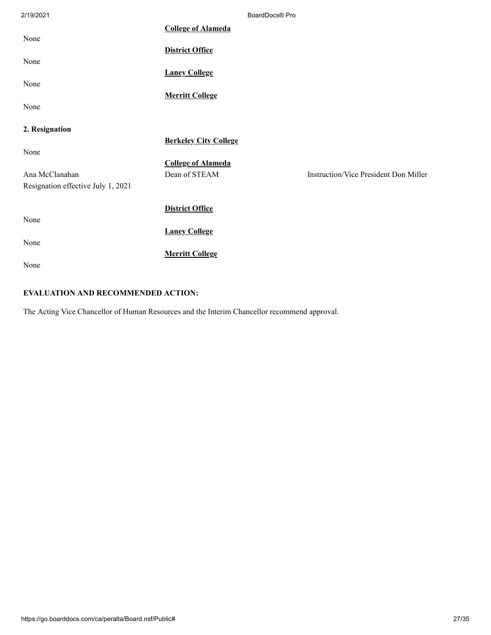| 2/19/2021                          |                              | BoardDocs® Pro |                                              |
|------------------------------------|------------------------------|----------------|----------------------------------------------|
|                                    | <b>College of Alameda</b>    |                |                                              |
| None                               | <b>District Office</b>       |                |                                              |
| None                               |                              |                |                                              |
| None                               | <b>Laney College</b>         |                |                                              |
|                                    | <b>Merritt College</b>       |                |                                              |
| None                               |                              |                |                                              |
| 2. Resignation                     |                              |                |                                              |
| None                               | <b>Berkeley City College</b> |                |                                              |
|                                    | <b>College of Alameda</b>    |                |                                              |
| Ana McClanahan                     | Dean of STEAM                |                | <b>Instruction/Vice President Don Miller</b> |
| Resignation effective July 1, 2021 |                              |                |                                              |
|                                    | <b>District Office</b>       |                |                                              |
| None                               |                              |                |                                              |
|                                    | <b>Laney College</b>         |                |                                              |
| None                               |                              |                |                                              |
|                                    | <b>Merritt College</b>       |                |                                              |
| None                               |                              |                |                                              |

### **EVALUATION AND RECOMMENDED ACTION:**

The Acting Vice Chancellor of Human Resources and the Interim Chancellor recommend approval.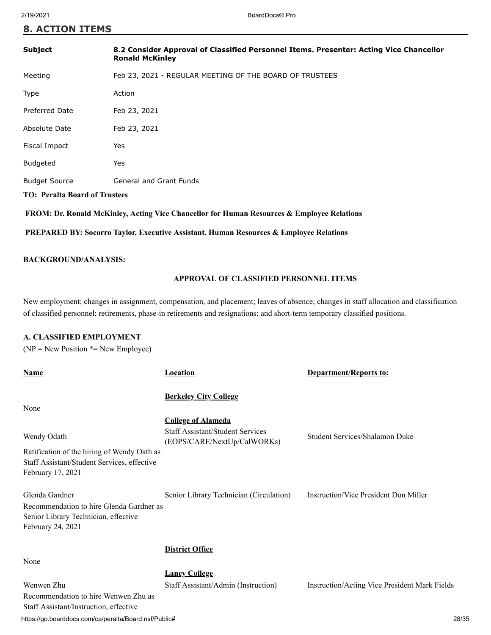#### **8. ACTION ITEMS**

| <b>Subject</b>                       | 8.2 Consider Approval of Classified Personnel Items. Presenter: Acting Vice Chancellor<br><b>Ronald McKinley</b> |
|--------------------------------------|------------------------------------------------------------------------------------------------------------------|
| Meeting                              | Feb 23, 2021 - REGULAR MEETING OF THE BOARD OF TRUSTEES                                                          |
| <b>Type</b>                          | Action                                                                                                           |
| <b>Preferred Date</b>                | Feb 23, 2021                                                                                                     |
| Absolute Date                        | Feb 23, 2021                                                                                                     |
| Fiscal Impact                        | Yes                                                                                                              |
| <b>Budgeted</b>                      | Yes                                                                                                              |
| <b>Budget Source</b>                 | <b>General and Grant Funds</b>                                                                                   |
| <b>TO: Peralta Board of Trustees</b> |                                                                                                                  |
|                                      | FROM: Dr. Ronald McKinley, Acting Vice Chancellor for Human Resources & Employee Relations                       |

 **PREPARED BY: Socorro Taylor, Executive Assistant, Human Resources & Employee Relations**

#### **BACKGROUND/ANALYSIS:**

#### **APPROVAL OF CLASSIFIED PERSONNEL ITEMS**

New employment; changes in assignment, compensation, and placement; leaves of absence; changes in staff allocation and classification of classified personnel; retirements, phase-in retirements and resignations; and short-term temporary classified positions.

#### **A. CLASSIFIED EMPLOYMENT**

 $(NP = New Position * = New Employee)$ 

| Name                                                                                                                    | <b>Location</b>                                                        | <b>Department/Reports to:</b>                 |
|-------------------------------------------------------------------------------------------------------------------------|------------------------------------------------------------------------|-----------------------------------------------|
| None                                                                                                                    | <b>Berkeley City College</b>                                           |                                               |
|                                                                                                                         | <b>College of Alameda</b>                                              |                                               |
| Wendy Odath                                                                                                             | <b>Staff Assistant/Student Services</b><br>(EOPS/CARE/NextUp/CalWORKs) | Student Services/Shalamon Duke                |
| Ratification of the hiring of Wendy Oath as<br>Staff Assistant/Student Services, effective<br>February 17, 2021         |                                                                        |                                               |
| Glenda Gardner<br>Recommendation to hire Glenda Gardner as<br>Senior Library Technician, effective<br>February 24, 2021 | Senior Library Technician (Circulation)                                | Instruction/Vice President Don Miller         |
|                                                                                                                         | <b>District Office</b>                                                 |                                               |
| None                                                                                                                    |                                                                        |                                               |
|                                                                                                                         | <b>Laney College</b>                                                   |                                               |
| Wenwen Zhu<br>Recommendation to hire Wenwen Zhu as<br>Staff Assistant/Instruction, effective                            | Staff Assistant/Admin (Instruction)                                    | Instruction/Acting Vice President Mark Fields |

https://go.boarddocs.com/ca/peralta/Board.nsf/Public# 28/35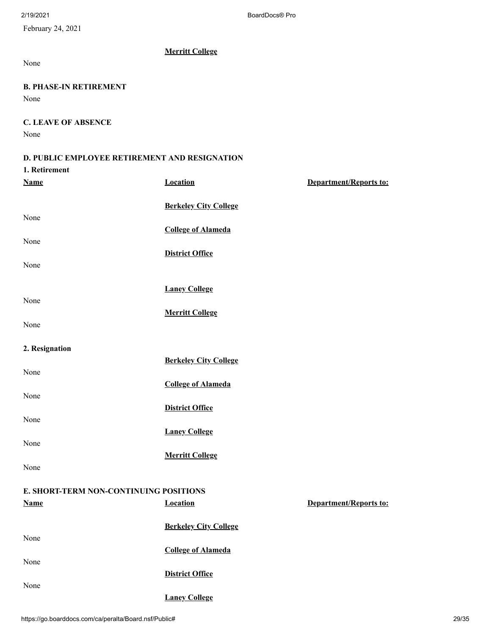February 24, 2021

None

#### **B. PHASE-IN RETIREMENT**

None

#### **C. LEAVE OF ABSENCE** None

#### **D. PUBLIC EMPLOYEE RETIREMENT AND RESIGNATION**

**Merritt College**

## **1. Retirement**

| <u>Name</u>                            | <b>Location</b>              | Department/Reports to:        |
|----------------------------------------|------------------------------|-------------------------------|
|                                        | <b>Berkeley City College</b> |                               |
| None                                   | <b>College of Alameda</b>    |                               |
| None                                   |                              |                               |
|                                        | <b>District Office</b>       |                               |
| None                                   |                              |                               |
|                                        | <b>Laney College</b>         |                               |
| None                                   | <b>Merritt College</b>       |                               |
| None                                   |                              |                               |
|                                        |                              |                               |
| 2. Resignation                         | <b>Berkeley City College</b> |                               |
| None                                   |                              |                               |
| None                                   | <b>College of Alameda</b>    |                               |
|                                        | <b>District Office</b>       |                               |
| None                                   | <b>Laney College</b>         |                               |
| None                                   |                              |                               |
|                                        | <b>Merritt College</b>       |                               |
| None                                   |                              |                               |
| E. SHORT-TERM NON-CONTINUING POSITIONS |                              |                               |
| <b>Name</b>                            | <b>Location</b>              | <b>Department/Reports to:</b> |
|                                        | <b>Berkeley City College</b> |                               |
| None                                   |                              |                               |
| None                                   | <b>College of Alameda</b>    |                               |
|                                        | <b>District Office</b>       |                               |

**Laney College**

None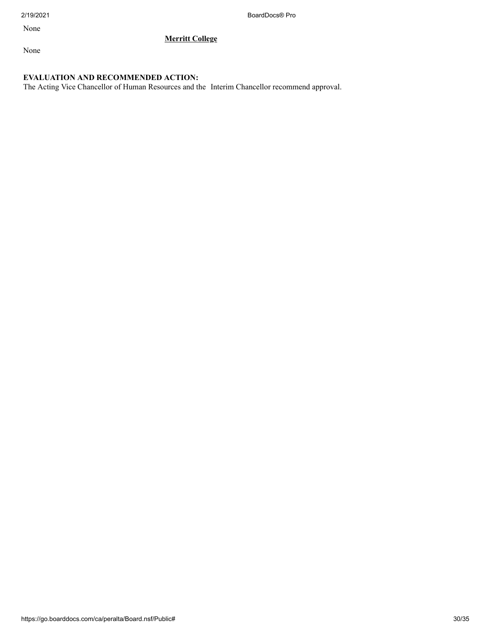2/19/2021 BoardDocs® Pro

None

**Merritt College**

None

#### **EVALUATION AND RECOMMENDED ACTION:**

The Acting Vice Chancellor of Human Resources and the Interim Chancellor recommend approval.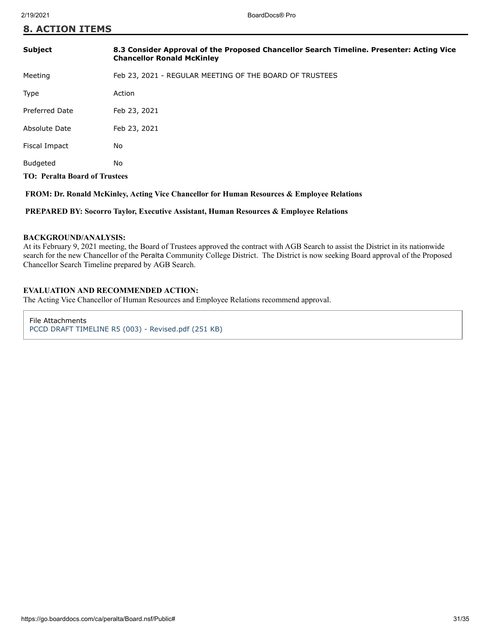| <b>8. ACTION ITEMS</b> |  |  |  |  |  |  |  |  |  |  |
|------------------------|--|--|--|--|--|--|--|--|--|--|
|------------------------|--|--|--|--|--|--|--|--|--|--|

| <b>Subject</b>                       | 8.3 Consider Approval of the Proposed Chancellor Search Timeline. Presenter: Acting Vice<br><b>Chancellor Ronald McKinley</b> |
|--------------------------------------|-------------------------------------------------------------------------------------------------------------------------------|
| Meeting                              | Feb 23, 2021 - REGULAR MEETING OF THE BOARD OF TRUSTEES                                                                       |
| Type                                 | Action                                                                                                                        |
| <b>Preferred Date</b>                | Feb 23, 2021                                                                                                                  |
| Absolute Date                        | Feb 23, 2021                                                                                                                  |
| Fiscal Impact                        | No.                                                                                                                           |
| <b>Budgeted</b>                      | No                                                                                                                            |
| <b>TO: Peralta Board of Trustees</b> |                                                                                                                               |
|                                      |                                                                                                                               |

 **FROM: Dr. Ronald McKinley, Acting Vice Chancellor for Human Resources & Employee Relations**

 **PREPARED BY: Socorro Taylor, Executive Assistant, Human Resources & Employee Relations**

#### **BACKGROUND/ANALYSIS:**

At its February 9, 2021 meeting, the Board of Trustees approved the contract with AGB Search to assist the District in its nationwide search for the new Chancellor of the Peralta Community College District. The District is now seeking Board approval of the Proposed Chancellor Search Timeline prepared by AGB Search.

#### **EVALUATION AND RECOMMENDED ACTION:**

The Acting Vice Chancellor of Human Resources and Employee Relations recommend approval.

File Attachments [PCCD DRAFT TIMELINE R5 \(003\) - Revised.pdf \(251 KB\)](https://go.boarddocs.com/ca/peralta/Board.nsf/files/BYC3WU08E7C0/$file/PCCD%20DRAFT%20TIMELINE%20R5%20(003)%20-%20Revised.pdf)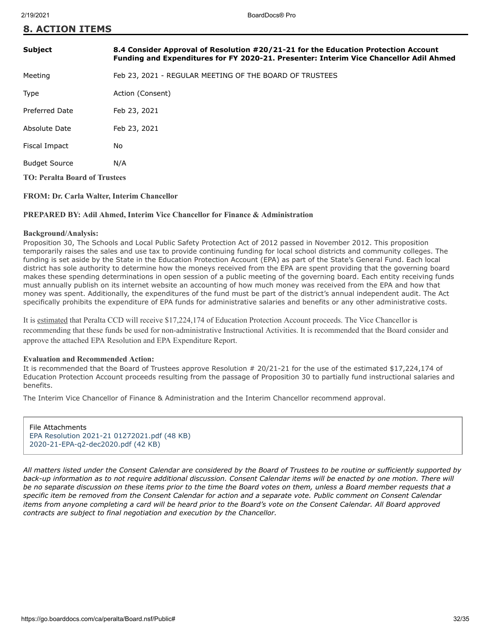|  | <b>8. ACTION ITEMS</b> |  |
|--|------------------------|--|
|  |                        |  |

| <b>Subject</b>                       | 8.4 Consider Approval of Resolution #20/21-21 for the Education Protection Account<br>Funding and Expenditures for FY 2020-21. Presenter: Interim Vice Chancellor Adil Ahmed |
|--------------------------------------|------------------------------------------------------------------------------------------------------------------------------------------------------------------------------|
| Meeting                              | Feb 23, 2021 - REGULAR MEETING OF THE BOARD OF TRUSTEES                                                                                                                      |
| Type                                 | Action (Consent)                                                                                                                                                             |
| <b>Preferred Date</b>                | Feb 23, 2021                                                                                                                                                                 |
| Absolute Date                        | Feb 23, 2021                                                                                                                                                                 |
| Fiscal Impact                        | No                                                                                                                                                                           |
| <b>Budget Source</b>                 | N/A                                                                                                                                                                          |
| <b>TO: Peralta Board of Trustees</b> |                                                                                                                                                                              |
|                                      |                                                                                                                                                                              |

**FROM: Dr. Carla Walter, Interim Chancellor**

#### **PREPARED BY: Adil Ahmed, Interim Vice Chancellor for Finance & Administration**

#### **Background/Analysis:**

Proposition 30, The Schools and Local Public Safety Protection Act of 2012 passed in November 2012. This proposition temporarily raises the sales and use tax to provide continuing funding for local school districts and community colleges. The funding is set aside by the State in the Education Protection Account (EPA) as part of the State's General Fund. Each local district has sole authority to determine how the moneys received from the EPA are spent providing that the governing board makes these spending determinations in open session of a public meeting of the governing board. Each entity receiving funds must annually publish on its internet website an accounting of how much money was received from the EPA and how that money was spent. Additionally, the expenditures of the fund must be part of the district's annual independent audit. The Act specifically prohibits the expenditure of EPA funds for administrative salaries and benefits or any other administrative costs.

It is estimated that Peralta CCD will receive \$17,224,174 of Education Protection Account proceeds. The Vice Chancellor is recommending that these funds be used for non-administrative Instructional Activities. It is recommended that the Board consider and approve the attached EPA Resolution and EPA Expenditure Report.

#### **Evaluation and Recommended Action:**

It is recommended that the Board of Trustees approve Resolution # 20/21-21 for the use of the estimated \$17,224,174 of Education Protection Account proceeds resulting from the passage of Proposition 30 to partially fund instructional salaries and benefits.

The Interim Vice Chancellor of Finance & Administration and the Interim Chancellor recommend approval.

File Attachments [EPA Resolution 2021-21 01272021.pdf \(48 KB\)](https://go.boarddocs.com/ca/peralta/Board.nsf/files/BXNN7A5E841C/$file/EPA%20Resolution%202021-21%2001272021.pdf) [2020-21-EPA-q2-dec2020.pdf \(42 KB\)](https://go.boarddocs.com/ca/peralta/Board.nsf/files/BXNN7C5E8665/$file/2020-21-EPA-q2-dec2020.pdf)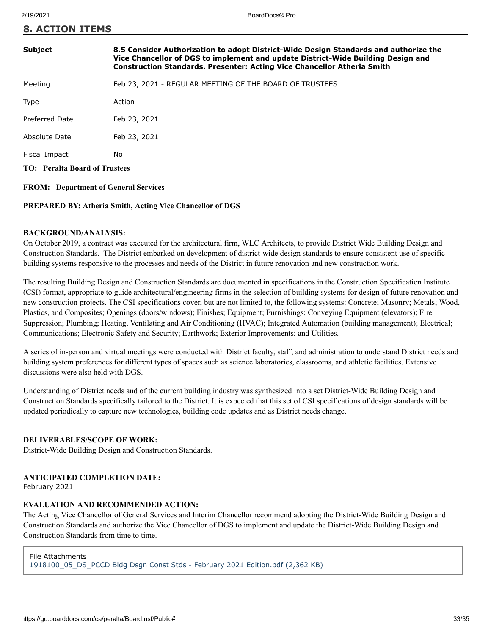**8. ACTION ITEMS**

| <b>Subject</b>                              | 8.5 Consider Authorization to adopt District-Wide Design Standards and authorize the<br>Vice Chancellor of DGS to implement and update District-Wide Building Design and<br><b>Construction Standards. Presenter: Acting Vice Chancellor Atheria Smith</b> |  |  |  |
|---------------------------------------------|------------------------------------------------------------------------------------------------------------------------------------------------------------------------------------------------------------------------------------------------------------|--|--|--|
| Meeting                                     | Feb 23, 2021 - REGULAR MEETING OF THE BOARD OF TRUSTEES                                                                                                                                                                                                    |  |  |  |
| Type                                        | Action                                                                                                                                                                                                                                                     |  |  |  |
| Preferred Date                              | Feb 23, 2021                                                                                                                                                                                                                                               |  |  |  |
| Absolute Date                               | Feb 23, 2021                                                                                                                                                                                                                                               |  |  |  |
| Fiscal Impact                               | No                                                                                                                                                                                                                                                         |  |  |  |
| <b>TO:</b> Peralta Board of Trustees        |                                                                                                                                                                                                                                                            |  |  |  |
| <b>FROM:</b> Department of General Services |                                                                                                                                                                                                                                                            |  |  |  |

#### **PREPARED BY: Atheria Smith, Acting Vice Chancellor of DGS**

#### **BACKGROUND/ANALYSIS:**

On October 2019, a contract was executed for the architectural firm, WLC Architects, to provide District Wide Building Design and Construction Standards. The District embarked on development of district-wide design standards to ensure consistent use of specific building systems responsive to the processes and needs of the District in future renovation and new construction work.

The resulting Building Design and Construction Standards are documented in specifications in the Construction Specification Institute (CSI) format, appropriate to guide architectural/engineering firms in the selection of building systems for design of future renovation and new construction projects. The CSI specifications cover, but are not limited to, the following systems: Concrete; Masonry; Metals; Wood, Plastics, and Composites; Openings (doors/windows); Finishes; Equipment; Furnishings; Conveying Equipment (elevators); Fire Suppression; Plumbing; Heating, Ventilating and Air Conditioning (HVAC); Integrated Automation (building management); Electrical; Communications; Electronic Safety and Security; Earthwork; Exterior Improvements; and Utilities.

A series of in-person and virtual meetings were conducted with District faculty, staff, and administration to understand District needs and building system preferences for different types of spaces such as science laboratories, classrooms, and athletic facilities. Extensive discussions were also held with DGS.

Understanding of District needs and of the current building industry was synthesized into a set District-Wide Building Design and Construction Standards specifically tailored to the District. It is expected that this set of CSI specifications of design standards will be updated periodically to capture new technologies, building code updates and as District needs change.

#### **DELIVERABLES/SCOPE OF WORK:**

District-Wide Building Design and Construction Standards.

#### **ANTICIPATED COMPLETION DATE:**

February 2021

#### **EVALUATION AND RECOMMENDED ACTION:**

The Acting Vice Chancellor of General Services and Interim Chancellor recommend adopting the District-Wide Building Design and Construction Standards and authorize the Vice Chancellor of DGS to implement and update the District-Wide Building Design and Construction Standards from time to time.

#### File Attachments

[1918100\\_05\\_DS\\_PCCD Bldg Dsgn Const Stds - February 2021 Edition.pdf \(2,362 KB\)](https://go.boarddocs.com/ca/peralta/Board.nsf/files/BY3LDH55E6E9/$file/1918100_05_DS_PCCD%20Bldg%20Dsgn%20Const%20Stds%20-%20February%202021%20Edition.pdf)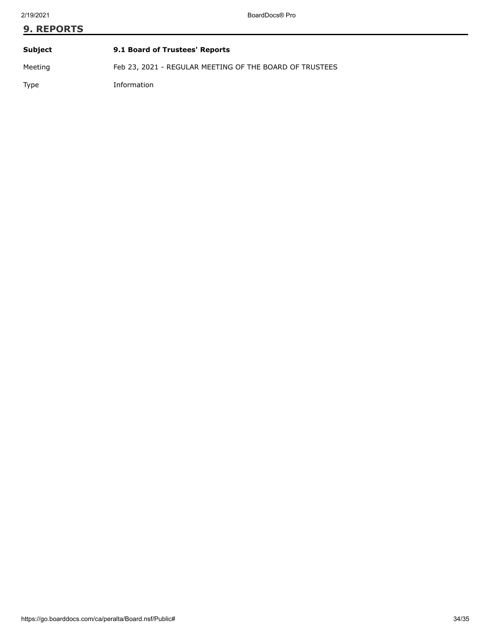# **9. REPORTS Subject 9.1 Board of Trustees' Reports**

Meeting Feb 23, 2021 - REGULAR MEETING OF THE BOARD OF TRUSTEES

Type Information